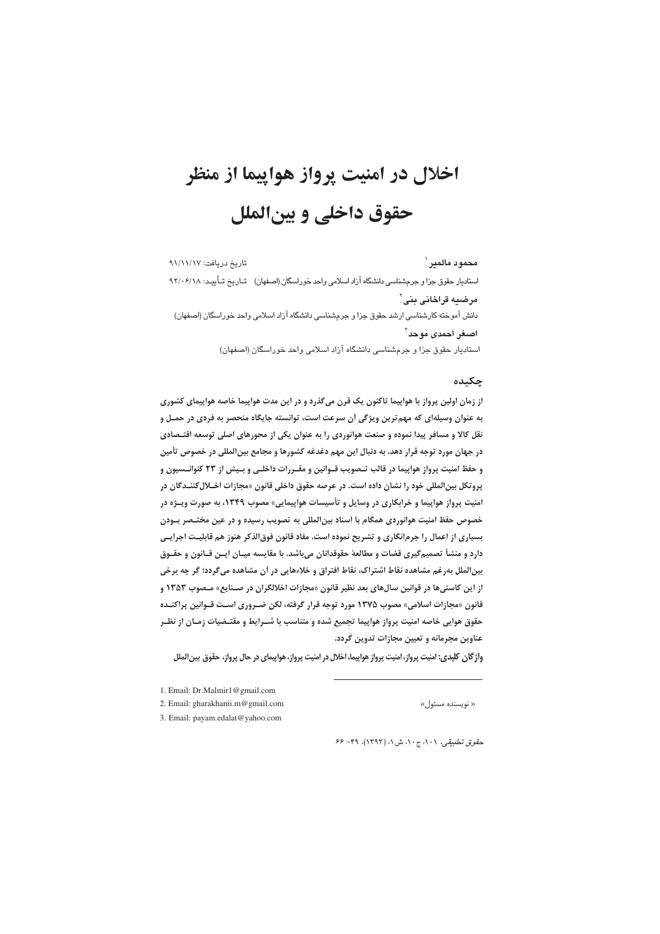# اخلال در امنيت پرواز هواييما از منظر حقوق داخلي و بين الملل

تاريخ دريافت: ٩١/١١/١٧ محمود مالمبر ` استادیار حقوق جزا و جرمشناسی دانشگاه آزاد اسلامی واحد خوراسگان (اصفهان) تاریخ تأیید: ۴/۱۰۶/۱۸ مرضیه قراخانی پنی` دانش آموخته کارشناسی ارشد حقوق جزا و جرمشناسی دانشگاه آزاد اسلامی واحد خوراسگان (اصفهان) اصغر احمدي موحد<sup>٢</sup> استادیار حقوق جزا و جرمشناسی دانشگاه آزاد اسلامی واحد خوراسگان (اصفهان)

## چکیده

از زمان اولین پرواز با هواپیما تاکنون یک قرن میگذرد و در این مدت هواپیما خاصه هواپیمای کشوری به عنوان وسیلهای که مهم ترین ویژگی آن سرعت است، توانسته جایگاه منحصر به فردی در حمـل و نقل کالا و مسافر پیدا نموده و صنعت هوانوردی را به عنوان یکی از محورهای اصلی توسعه اقتـصادی در جهان مورد توجه قرار دهد. به دنبال این مهم دغدغه کشورها و مجامع بین|لمللی در خصوص تأمین و حفظ امنیت پرواز هواپیما در قالب تـصویب قــوانین و مقــررات داخلــی و بــیش از ۲۳ کنوانــسیون و پروتکل بینالمللی خود را نشان داده است. در عرصه حقوق داخلی قانون «مجازات اخــلال کننــدگان در امنیت پرواز هواپیما و خرابکاری در وسایل و تأسیسات هواپیمایی» مصوب ۱۳۴۹، به صورت ویـژه در خصوص حفظ امنیت هوانوردی همگام با اسناد بین|لمللی به تصویب رسیده و در عین مختـصر بــودن بسیاری از اعمال را جرم|نگاری و تشریح نموده است. مفاد قانون فوق|لذکر هنوز هم قابلیت اجرایـی دارد و منشأ تصمیم گیری قضات و مطالعهٔ حقوقدانان میباشد. با مقایسه میـان ایـن قـانون و حقـوق بینالملل بهرغم مشاهده نقاط اشتراک، نقاط افتراق و خلاءهایی در اَن مشاهده می گردد؛ گر چه برخی از این کاستیها در قوانین سالهای بعد نظیر قانون «مجازات اخلالگران در صـنایع» مـصوب ۱۳۵۳ و قانون «مجازات اسلامی» مصوب ۱۳۷۵ مورد توجه قرار گرفته، لکن ضـروری اسـت قـوانین پراکنـده حقوق هوایی خاصه امنیت پرواز هواپیما تجمیع شده و متناسب با شــرایط و مقتـضیات زمـان از نظـر عناوین مجرمانه و تعیین مجازات تدوین گردد.

واژگان کلیدی: امنیت پرواز، امنیت پرواز هواپیما، اخلال در امنیت پرواز، هواپیمای در حال پرواز، حقوق بین الملل

2. Email: gharakhanii.m@gmail.com

« نويسنده مسئول»

3. Email: payam.edalat@yahoo.com

حقوق تطبیقی، ٠١، ج ٠١، ش ١، (١٣٩٣)، ٣٩- ۶۶

<sup>1.</sup> Email: Dr.Malmir1@gmail.com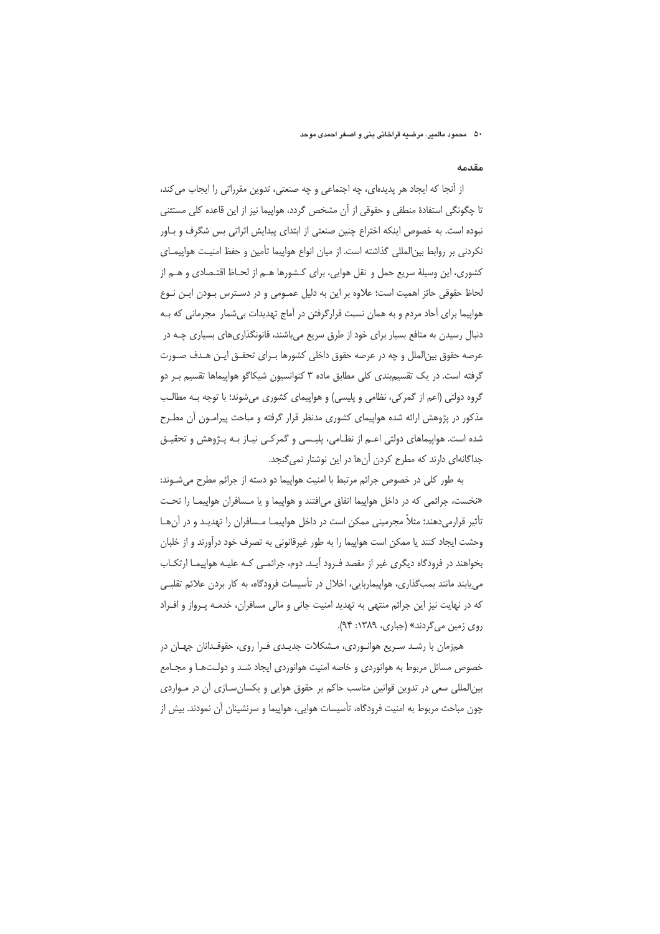#### مقدمه

از أنجا كه ايجاد هر پديدهاى، چه اجتماعى و چه صنعتى، تدوين مقرراتى را ايجاب مى كند، تا چگونگی استفادهٔ منطقی و حقوقی از آن مشخص گردد، هواپیما نیز از این قاعده کلی مستثنی نبوده است. به خصوص اینکه اختراع چنین صنعتی از ابتدای پیدایش اثراتی بس شگرف و بـاور نكردني بر روابط بين|لمللي گذاشته است. از ميان انواع هواپيما تأمين و حفظ امنيت هواپيمـاي كشورى، اين وسيلهٔ سريع حمل و نقل هوايي، براي كـشورها هـم از لحـاظ اقتـصادي و هـم از لحاظ حقوقی حائز اهمیت است؛ علاوه بر این به دلیل عمـومی و در دسـترس بـودن ایـن نـوع هواپیما برای آحاد مردم و به همان نسبت قرارگرفتن در آماج تهدیدات بی شمار مجرمانی که بـه دنبال رسیدن به منافع بسیار برای خود از طرق سریع میباشند، قانونگذاریهای بسیاری چـه در عرصه حقوق بین|لملل و چه در عرصه حقوق داخلی کشورها بـرای تحقـق ایـن هـدف صـورت گرفته است. در یک تقسیمبندی کلی مطابق ماده ۳ کنوانسیون شیکاگو هواپیماها تقسیم بـر دو گروه دولتی (اعم از گمرکی، نظامی و پلیسی) و هواپیمای کشوری می شوند؛ با توجه بـه مطالـب مذکور در پژوهش ارائه شده هواپیمای کشوری مدنظر قرار گرفته و مباحث پیرامـون آن مطـرح شده است. هواپیماهای دولتی اعـم از نظـامی، پلیـسی و گمرکـی نیـاز بـه پـژوهش و تحقیـق جداگانهای دارند که مطرح کردن آنها در این نوشتار نمی گنجد.

به طور كلي در خصوص جرائم مرتبط با امنيت هواييما دو دسته از جرائم مطرح مي شـوند: «نخست، جرائمی که در داخل هواپیما اتفاق میافتند و هواپیما و یا مـسافران هواپیمـا را تحـت تأثیر قرارمیدهند؛ مثلاً مجرمینی ممکن است در داخل هواپیمـا مـسافران را تهدیـد و در آنِهـا وحشت ایجاد کنند یا ممکن است هواپیما را به طور غیرقانونی به تصرف خود درآورند و از خلبان بخواهند در فرودگاه دیگری غیر از مقصد فـرود آیـد. دوم، جرائمـی کـه علیـه هواپیمـا ارتکـاب می یابند مانند بمب گذاری، هواپیماربایی، اخلال در تأسیسات فرودگاه، به کار بردن علائم تقلبی که در نهایت نیز این جرائم منتهی به تهدید امنیت جانی و مالی مسافران، خدمـه پـرواز و افـراد روی زمین می گردند» (جباری، ۱۳۸۹: ۹۴).

همزمان با رشـد سـریع هوانـوردی، مـشکلات جدیـدی فـرا روی، حقوقـدانان جهـان در خصوص مسائل مربوط به هوانوردی و خاصه امنیت هوانوردی ایجاد شد و دولـتهـا و مجـامع بینالمللی سعی در تدوین قوانین مناسب حاکم بر حقوق هوایی و یکسان سازی آن در مـواردی چون مباحث مربوط به امنیت فرودگاه، تأسیسات هوایی، هواپیما و سرنشینان آن نمودند. بیش از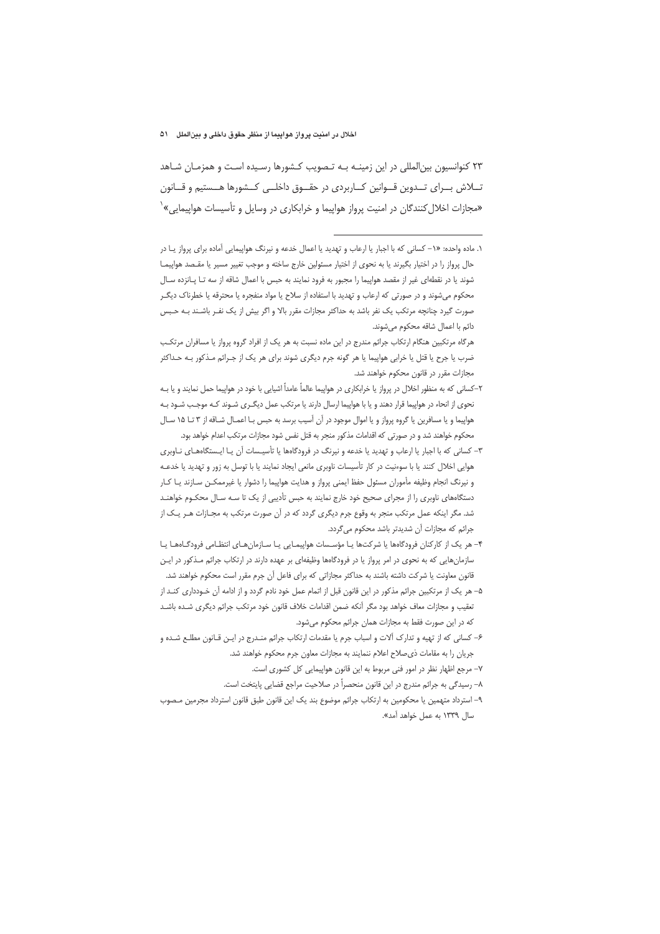۲۳ کنوانسیون بینالمللی در این زمینـه بـه تـصویب کـشورها رسـیده اسـت و همزمـان شـاهد تــلاش بــراى تــدوين قــوانين كــاربردى در حقــوق داخلــى كــشورها هــستيم و قــانون «مجازات اخلال کنندگان در امنیت پرواز هواپیما و خرابکاری در وسایل و تأسیسات هواپیمایی»`

۱. ماده واحده: «۱– کسانی که با اجبار یا ارعاب و تهدید یا اعمال خدعه و نیرنگ هواپیمایی آماده برای پرواز یـا در حال پرواز را در اختیار بگیرند یا به نحوی از اختیار مسئولین خارج ساخته و موجب تغییر مسیر یا مقـصد هواپیمـا شوند یا در نقطهای غیر از مقصد هواپیما را مجبور به فرود نمایند به حبس با اعمال شاقه از سه تا پانزده سال محکوم میشوند و در صورتی که ارعاب و تهدید با استفاده از سلاح یا مواد منفجره یا محترقه یا خطرناک دیگـر صورت گیرد چنانچه مرتکب یک نفر باشد به حداکثر مجازات مقرر بالا و اگر بیش از یک نفـر باشـند بـه حـبس دائم با اعمال شاقه محکوم می شوند.

هرگاه مرتکبین هنگام ارتکاب جرائم مندرج در این ماده نسبت به هر یک از افراد گروه پرواز یا مسافران مرتکب ضرب یا جرح یا قتل یا خرابی هواپیما یا هر گونه جرم دیگری شوند برای هر یک از جـرائم مـذکور بـه حـداکثر مجازات مقرر در قانون محکوم خواهند شد.

۲–کسانی که به منظور اخلال در پرواز یا خرابکاری در هواپیما عالماً عامداً اشیایی با خود در هواپیما حمل نمایند و یا بـه نحوی از انحاء در هواپیما قرار دهند و یا با هواپیما ارسال دارند یا مرتکب عمل دیگـری شـوند کـه موجـب شـود بـه هواپيما و يا مسافرين يا گروه پرواز و يا اموال موجود در آن آسيب برسد به حبس بـا اعمـال شـاقه از ٣ تـا ١٥ سـال محکوم خواهند شد و در صورتی که اقدامات مذکور منجر به قتل نفس شود مجازات مرتکب اعدام خواهد بود.

۳– کسانی که با اجبار یا ارعاب و تهدید یا خدعه و نیرنگ در فرودگاهها یا تأسیـسات آن یـا ایـستگاههـای نــاوبری هوایی اخلال کنند یا با سوءنیت در کار تأسیسات ناوبری مانعی ایجاد نمایند یا با توسل به زور و تهدید یا خدعـه و نیرنگ انجام وظیفه مأموران مسئول حفظ ایمنی پرواز و هدایت هواپیما را دشوار یا غیرممکــن ســازند یــا کــار دستگاههای ناوبری را از مجرای صحیح خود خارج نمایند به حبس تأدیبی از یک تا سـه سـال محکـوم خواهنـد شد. مگر اینکه عمل مرتکب منجر به وقوع جرم دیگری گردد که در آن صورت مرتکب به مجـازات هـر یـک از جرائم كه مجازات آن شديدتر باشد محكوم مي گردد.

۴– هر یک از کارکنان فرودگاهها یا شرکتها یـا مؤسـسات هواپیمـایی یـا سـازمان،هـای انتظـامی فرودگـاههـا یـا سازمانهایی که به نحوی در امر پرواز یا در فرودگاهها وظیفهای بر عهده دارند در ارتکاب جرائم مـذکور در ایـن قانون معاونت یا شرکت داشته باشند به حداکثر مجازاتی که برای فاعل آن جرم مقرر است محکوم خواهند شد.

۵– هر یک از مرتکبین جرائم مذکور در این قانون قبل از اتمام عمل خود نادم گردد و از ادامه آن خـودداری کنـد از تعقيب و مجازات معاف خواهد بود مگر آنكه ضمن اقدامات خلاف قانون خود مرتكب جرائم ديگرى شـده باشـد كه در اين صورت فقط به مجازات همان جرائم محكوم مي شود.

۶– کسانی که از تهیه و تدارک آلات و اسباب جرم یا مقدمات ارتکاب جرائم منـدرج در ایـن قـانون مطلـع شـده و جریان را به مقامات ذی صلاح اعلام ننمایند به مجازات معاون جرم محکوم خواهند شد.

٧– مرجع اظهار نظر در امور فنی مربوط به این قانون هواپیمایی کل کشوری است.

٨– رسيدگي به جرائم مندرج در اين قانون منحصراً در صلاحيت مراجع قضايي پايتخت است.

٩– استرداد متهمین یا محکومین به ارتکاب جرائم موضوع بند یک این قانون طبق قانون استرداد مجرمین مـصوب سال ۱۳۳۹ به عمل خواهد آمد».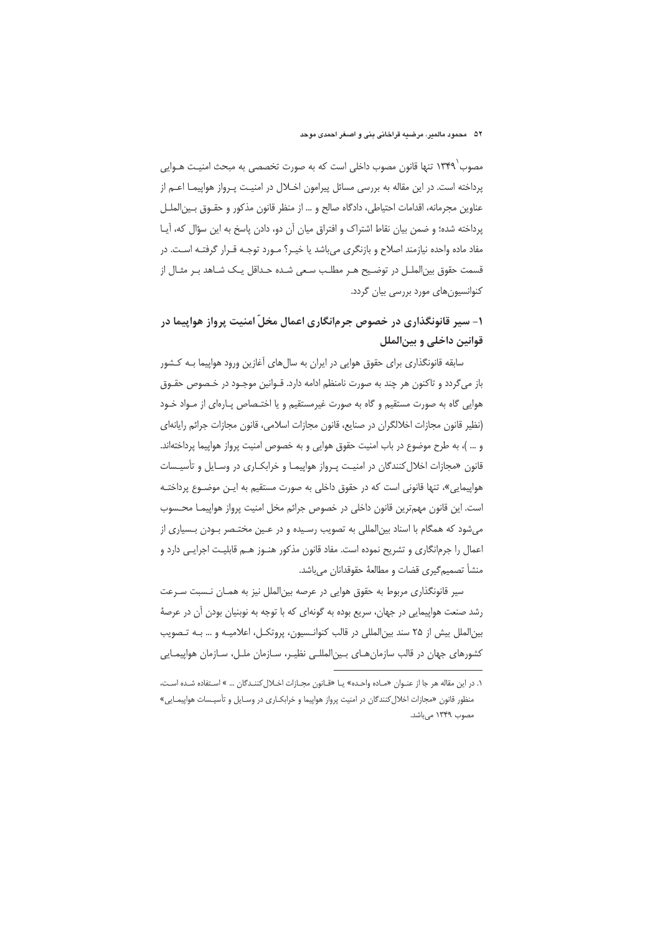مصوب ۱۳۴۹٬ تنها قانون مصوب داخلی است که به صورت تخصصی به مبحث امنیـت هــوایی پرداخته است. در این مقاله به بررسی مسائل پیرامون اخـلال در امنیـت پـرواز هواپیمـا اعـم از عناوين مجرمانه، اقدامات احتياطي، دادگاه صالح و … از منظر قانون مذكور و حقــوق بــين|لملــل پرداخته شده؛ و ضمن بیان نقاط اشتراک و افتراق میان آن دو، دادن پاسخ به این سؤال که، آیـا مفاد ماده واحده نیازمند اصلاح و بازنگری میباشد یا خیـر؟ مـورد توجـه قـرار گرفتـه اسـت. در قسمت حقوق بین|لملـل در توضـیح هـر مطلـب سـعی شـده حـداقل یـک شـاهد بـر مثـال از کنوانسیونهای مورد بررسی بیان گردد.

# ۱- سیر قانونگذاری در خصوص جرمانگاری اعمال مخلّ امنیت پرواز هواپیما در قوانین داخلی و بینالملل

سابقه قانونگذاری برای حقوق هوایی در ایران به سالهای آغازین ورود هواپیما بـه کـشور باز میگردد و تاکنون هر چند به صورت نامنظم ادامه دارد. قــوانین موجــود در خــصوص حقــوق هوایی گاه به صورت مستقیم و گاه به صورت غیرمستقیم و یا اختـصاص پـارهای از مـواد خـود (نظیر قانون مجازات اخلالگران در صنایع، قانون مجازات اسلامی، قانون مجازات جرائم رایانهای و ... )، به طرح موضوع در باب امنیت حقوق هوایی و به خصوص امنیت پرواز هواپیما پرداختهاند. قانون «مجازات اخلال كنندگان در امنيت پرواز هواپيمـا و خرابكـارى در وسـايل و تأسيـسات هواپیمایی»، تنها قانونی است که در حقوق داخلی به صورت مستقیم به ایـن موضـوع پرداختـه است. این قانون مهمترین قانون داخلی در خصوص جرائم مخل امنیت پرواز هواپیمـا محـسوب می شود که همگام با اسناد بین|لمللی به تصویب رسـیده و در عـین مختـصر بـودن بـسیاری از اعمال را جرمانگاری و تشریح نموده است. مفاد قانون مذکور هنـوز هـم قابلیـت اجرایـی دارد و منشأ تصميم گيري قضات و مطالعهٔ حقوقدانان مي باشد.

سیر قانونگذاری مربوط به حقوق هوایی در عرصه بین|لملل نیز به همـان نـسبت سـرعت رشد صنعت هواپیمایی در جهان، سریع بوده به گونهای که با توجه به نوبنیان بودن آن در عرصهٔ بینالملل بیش از ۲۵ سند بینالمللی در قالب کنوانـسیون، پروتکـل، اعلامیـه و … بـه تـصویب کشورهای جهان در قالب سازمان هـای بـین|لمللـی نظیـر، سـازمان ملـل، سـازمان هواپیمـایی

١. در اين مقاله هر جا از عنـوان «مـاده واحـده» يـا «قـانون مجـازات اخـلال كننـدگان ... » اسـتفاده شـده اسـت، منظور قانون «مجازات اخلال کنندگان در امنیت پرواز هواپیما و خرابکـاری در وسـایل و تأسیـسات هواپیمـایی» مصوب ١٣۴٩ مي باشد.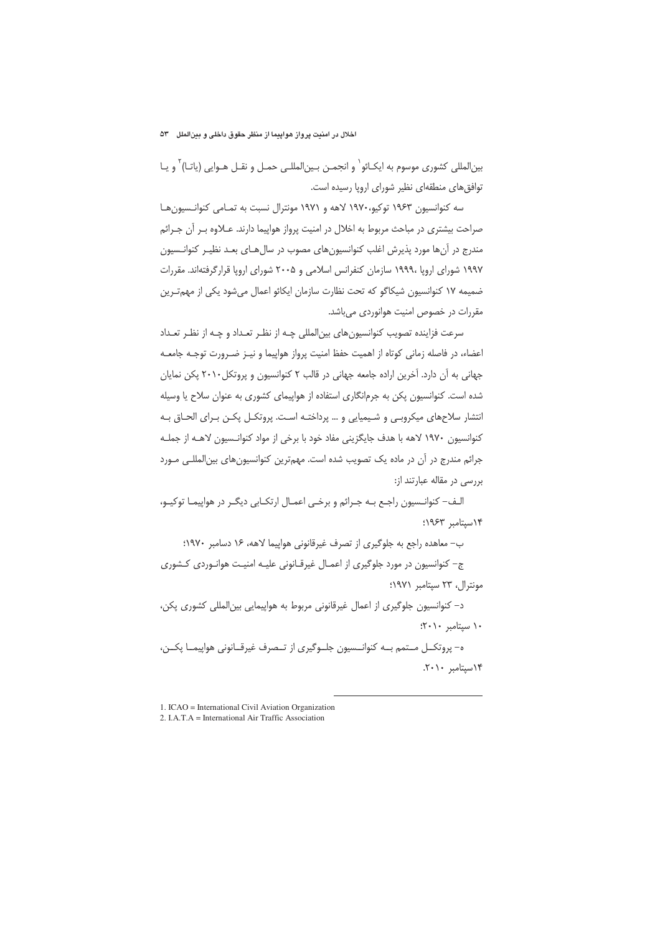#### اخلال در امنیت پرواز هواپیما از منظر حقوق داخلی و بینالملل ۵۳

بین|لمللی کشوری موسوم به ایکـائو` و انجمـن بـین|لمللـی حمـل و نقـل هـوایی (یاتـا)<sup>۲</sup> و یـا توافق های منطقهای نظیر شورای اروپا رسیده است.

سه کنوانسیون ۱۹۶۳ توکیو،۱۹۷۰ لاهه و ۱۹۷۱ مونترال نسبت به تمـامی کنوانـسیون۱هـا صراحت بیشتری در مباحث مربوط به اخلال در امنیت پرواز هواپیما دارند. عـلاوه بـر آن جـرائم مندرج در آنها مورد پذیرش اغلب کنوانسیونهای مصوب در سال هـای بعـد نظیـر کنوانـسیون ۱۹۹۷ شورای اروپا ۱۹۹۹۰ سازمان کنفرانس اسلامی و ۲۰۰۵ شورای اروپا قرارگرفتهاند. مقررات ضمیمه ۱۷ کنوانسیون شیکاگو که تحت نظارت سازمان ایکائو اعمال میشود یکی از مهمترین مقررات در خصوص امنیت هوانوردی میباشد.

سرعت فزاینده تصویب کنوانسیونهای بین|لمللی چـه از نظـر تعـداد و چـه از نظـر تعـداد اعضاء، در فاصله زمانی کوتاه از اهمیت حفظ امنیت پرواز هواپیما و نیـز ضـرورت توجـه جامعـه جهانی به آن دارد. آخرین اراده جامعه جهانی در قالب ۲ کنوانسیون و پروتکل ۲۰۱۰ پکن نمایان شده است. کنوانسیون یکن به جرمانگاری استفاده از هواپیمای کشوری به عنوان سلاح یا وسیله انتشار سلاحهای میکروبی و شیمیایی و … پرداختـه اسـت. پروتکـل یکـن بـرای الحـاق بـه كنوانسيون ١٩٧٠ لاهه با هدف جايگزيني مفاد خود با برخي از مواد كنوانـسيون لاهـه از جملـه جرائم مندرج در آن در ماده یک تصویب شده است. مهمترین کنوانسیون های بین المللے مورد بررسی در مقاله عبارتند از:

الـف– کنوانـسيون راجـع بـه جـرائم و برخـى اعمـال ارتكـابى ديگـر در هواپيمـا توكيـو، ١٩٤٣ سيتامبر ١٩۶٣؛

ب- معاهده راجع به جلوگیری از تصرف غیرقانونی هواییما لاهه، ۱۶ دسامبر ۱۹۷۰؛

ج– کنوانسیون در مورد جلوگیری از اعمـال غیرقـانونی علیـه امنیـت هوانـوردی کـشوری مونترال، ٢٣ سيتامبر ١٩٧١؛

د– کنوانسیون جلوگیری از اعمال غیرقانونی مربوط به هواپیمایی بین|لمللی کشوری یکن،  $\uparrow\cdot\uparrow\cdot\downarrow$ ا ستامبر

ه- پروتکــل مــتمم بــه کنوانــسيون جلــوگيري از تــصرف غيرقــانوني هواپيمــا پکــن، ١۴سيتامبر ٢٠١٠.

<sup>1.</sup> ICAO = International Civil Aviation Organization

<sup>2.</sup> I.A.T.A = International Air Traffic Association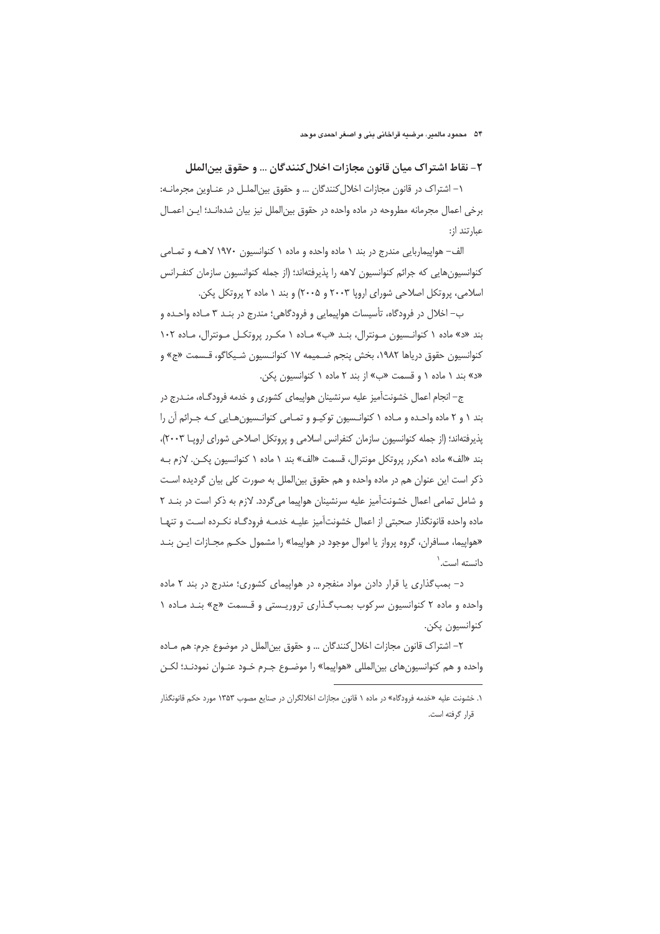# ٢- نقاط اشتراك ميان قانون مجازات اخلال كنندگان ... و حقوق بينالملل

١- اشتراک در قانون مجازات اخلال کنندگان ... و حقوق بین الملـل در عنـاوین مجرمانـه: برخي اعمال مجرمانه مطروحه در ماده واحده در حقوق بين|لملل نيز بيان شدهانـد؛ ايـن اعمـال عبارتند از:

الف- هواپیماربایی مندرج در بند ۱ ماده واحده و ماده ۱ کنوانسیون ۱۹۷۰ لاهـه و تمـامی كنوانسيون هايي كه جرائم كنوانسيون لاهه را پذيرفتهاند؛ (از جمله كنوانسيون سازمان كنف رانس اسلامی، پروتکل اصلاحی شورای اروپا ۲۰۰۳ و ۲۰۰۵) و بند ۱ ماده ۲ پروتکل پکن.

ب– اخلال در فرودگاه، تأسیسات هواپیمایی و فرودگاهی؛ مندرج در بنـد ۳ مـاده واحـده و بند «د» ماده ۱ کنوانسیون مونترال، بنـد «ب» ماده ۱ مکرر پروتکل مونترال، ماده ۱۰۲ كنوانسيون حقوق درياها ١٩٨٢، بخش پنجم ضـميمه ١٧ كنوانـسيون شـيكاگو، قـسمت «ج» و «د» بند ١ ماده ١ و قسمت «ب» از بند ٢ ماده ١ كنوانسيون يكن.

ج– انجام اعمال خشونتآمیز علیه سرنشینان هواپیمای کشوری و خدمه فرودگـاه، منـدرج در بند ۱ و ۲ ماده واحده و مـاده ۱ کنوانـسیون توکیـو و تمـامی کنوانـسیونهـایی کـه جـرائم آن را پذیرفتهاند؛ (از جمله کنوانسیون سازمان کنفرانس اسلامی و پروتکل اصلاحی شورای اروپا ٢٠٠٣)، بند «الف» ماده ۱مکرر پروتکل مونترال، قسمت «الف» بند ۱ ماده ۱ کنوانسیون یکـن. لازم بـه ذکر است این عنوان هم در ماده واحده و هم حقوق بین|لملل به صورت کلی بیان گردیده اسـت و شامل تمامی اعمال خشونتآمیز علیه سرنشینان هواپیما می گردد. لازم به ذکر است در بنـد ۲ ماده واحده قانونگذار صحبتي از اعمال خشونتآميز عليـه خدمـه فرودگـاه نكـرده اسـت و تنهـا «هواییما، مسافران، گروه پرواز یا اموال موجود در هواپیما» را مشمول حکـم مجـازات ایـن بنـد دانسته است.`

د- بمب گذاری یا قرار دادن مواد منفجره در هواپیمای کشوری؛ مندرج در بند ۲ ماده واحده و ماده ۲ کنوانسیون سرکوب بمبگذاری تروریستی و قسمت «ج» بند ماده ۱ كنوانسيون پكن.

٢– اشتراک قانون مجازات اخلال کنندگان … و حقوق بین|لملل در موضوع جرم: هم مـاده واحده و هم كنوانسيونهاى بين|لمللي «هواپيما» را موضـوع جـرم خـود عنـوان نمودنـد؛ لكـن

۰. خشونت علیه «خدمه فرودگاه» در ماده ۱ قانون مجازات اخلالگران در صنایع مصوب ۱۳۵۳ مورد حکم قانونگذار قرار گرفته است.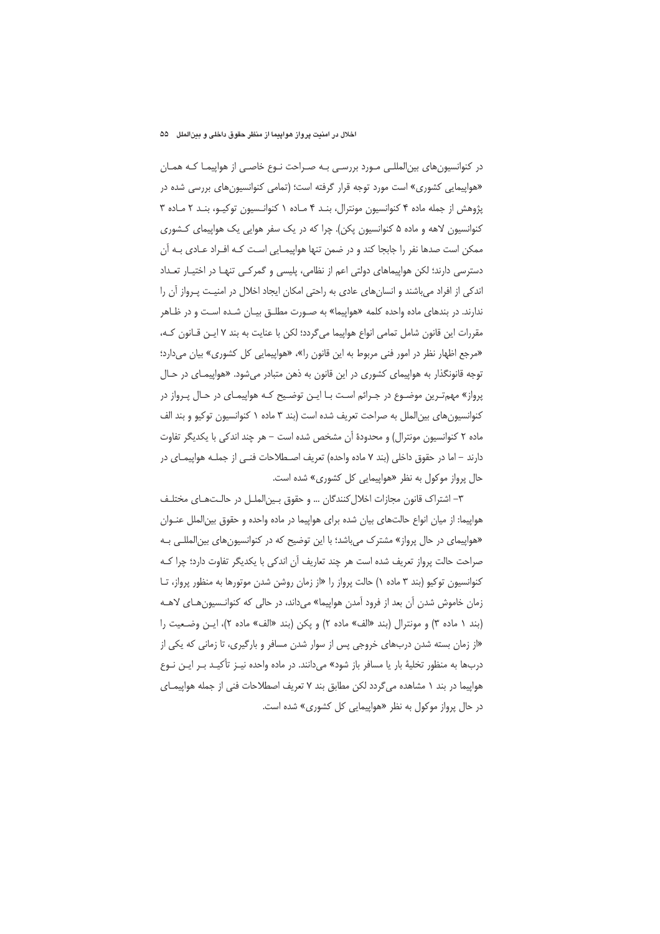#### اخلال در امنیت پرواز هواپیما از منظر حقوق داخلی و بینالملل ۵۵

در کنوانسیونهای بین|لمللـی مـورد بررسـی بـه صـراحت نـوع خاصـی از هواپیمـا کـه همـان «هواپیمایی کشوری» است مورد توجه قرار گرفته است؛ (تمامی کنوانسیونهای بررسی شده در پژوهش از جمله ماده ۴ کنوانسیون مونترال، بنـد ۴ مـاده ۱ کنوانـسیون توکیـو، بنـد ۲ مـاده ۳ کنوانسیون لاهه و ماده ۵ کنوانسیون پکن). چرا که در یک سفر هوایی یک هواپیمای کشوری ممکن است صدها نفر را جابجا کند و در ضمن تنها هواپیمـایی اسـت کـه افـراد عــادی بـه آن دسترسی دارند؛ لکن هواپیماهای دولتی اعم از نظامی، پلیسی و گمرکـی تنهـا در اختیـار تعـداد اندکی از افراد میباشند و انسانهای عادی به راحتی امکان ایجاد اخلال در امنیـت پـرواز آن را ندارند. در بندهای ماده واحده کلمه «هواپیما» به صـورت مطلـق بیـان شـده اسـت و در ظـاهر مقررات این قانون شامل تمامی انواع هواپیما میگردد؛ لکن با عنایت به بند ۷ ایـن قـانون کـه، «مرجع اظهار نظر در امور فنی مربوط به این قانون را»، «هواپیمایی کل کشوری» بیان میدارد؛ توجه قانونگذار به هواپیمای کشوری در این قانون به ذهن متبادر میشود. «هواپیمـای در حـال پرواز» مهم تـرین موضـوع در جـرائم اسـت بـا ایـن توضـیح کـه هواپیمـای در حـال پـرواز در کنوانسیونهای بینالملل به صراحت تعریف شده است (بند ۳ ماده ۱ کنوانسیون توکیو و بند الف ماده ۲ کنوانسیون مونترال) و محدودهٔ آن مشخص شده است – هر چند اندکی با یکدیگر تفاوت دارند – اما در حقوق داخلی (بند ۷ ماده واحده) تعریف اصـطلاحات فنـی از جملـه هواپیمـای در حال پرواز موکول به نظر «هواپیمایی کل کشوری» شده است.

٣– اشتراک قانون مجازات اخلال کنندگان … و حقوق بـين|لملـل در حالـتهـاى مختلـف هواپیما: از میان انواع حالتهای بیان شده برای هواپیما در ماده واحده و حقوق بین|لملل عنـوان «هواپیمای در حال پرواز» مشترک می باشد؛ با این توضیح که در کنوانسیونهای بین|لمللـی بـه صراحت حالت پرواز تعریف شده است هر چند تعاریف آن اندکی با یکدیگر تفاوت دارد؛ چرا کـه کنوانسیون توکیو (بند ۳ ماده ۱) حالت پرواز را «از زمان روشن شدن موتورها به منظور پرواز، تـا زمان خاموش شدن آن بعد از فرود آمدن هواپیما» میcاند، در حالی که کنوانـسیون هـای لاهـه (بند ١ ماده ٣) و مونترال (بند «الف» ماده ٢) و يكن (بند «الف» ماده ٢)، ايـن وضعيت را «از زمان بسته شدن دربهای خروجی پس از سوار شدن مسافر و بارگیری، تا زمانی که یکی از دربها به منظور تخليهٔ بار يا مسافر باز شود» مي(دانند. در ماده واحده نيـز تأكيـد بـر ايـن نـوع هواپیما در بند ۱ مشاهده می گردد لکن مطابق بند ۷ تعریف اصطلاحات فنی از جمله هواپیمـای در حال پرواز موکول به نظر «هواپیمایی کل کشوری» شده است.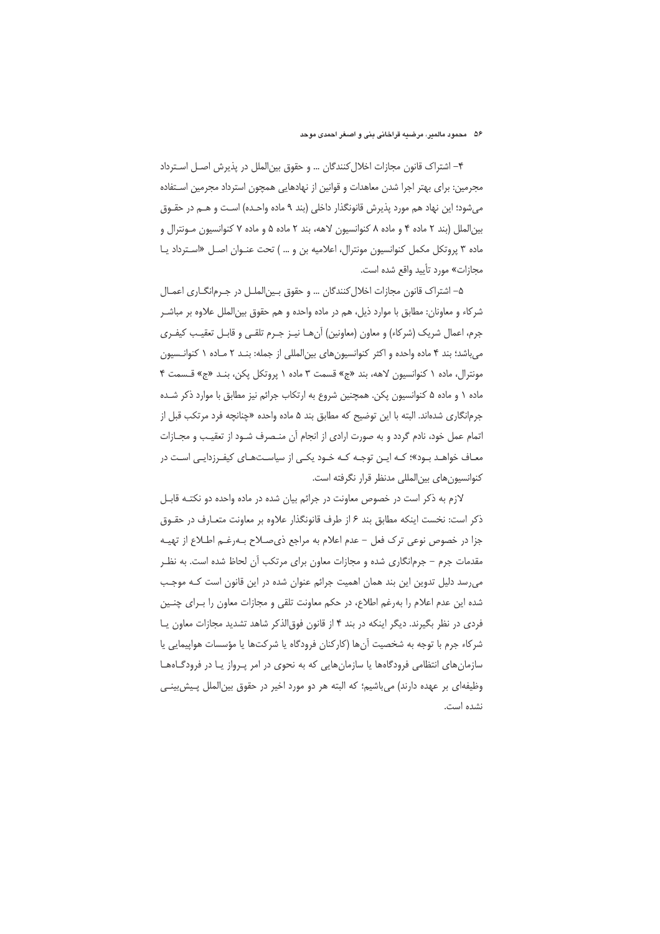۴– اشتراک قانون مجازات اخلال کنندگان … و حقوق بین|لملل در پذیرش اصـل اسـترداد مجرمین: برای بهتر اجرا شدن معاهدات و قوانین از نهادهایی همچون استرداد مجرمین اسـتفاده میشود؛ این نهاد هم مورد پذیرش قانونگذار داخلی (بند ۹ ماده واحـده) اسـت و هــم در حقــوق بین الملل (بند ۲ ماده ۴ و ماده ۸ کنوانسیون لاهه، بند ۲ ماده ۵ و ماده ۷ کنوانسیون مـونترال و ماده ۳ پروتکل مکمل کنوانسیون مونترال، اعلامیه بن و ...) تحت عنوان اصل «استرداد یا مجازات» مورد تأييد واقع شده است.

۵– اشتراک قانون مجازات اخلال کنندگان … و حقوق بـین|لملـل در جـرم|نگــاری اعمــال شركاء و معاونان: مطابق با موارد ذيل، هم در ماده واحده و هم حقوق بين|لملل علاوه بر مباشـر جرم، اعمال شريک (شركاء) و معاون (معاونين) آنهـا نيـز جـرم تلقـى و قابـل تعقيـب كيفـرى می باشد؛ بند ۴ ماده واحده و اکثر کنوانسیونهای بینالمللی از جمله: بنـد ۲ مـاده ۱ کنوانـسیون مونترال، ماده ١ كنوانسيون لاهه، بند «ج» قسمت ٣ ماده ١ پروتكل يكن، بنـد «ج» قـسمت ۴ ماده ۱ و ماده ۵ کنوانسیون یکن. همچنین شروع به ارتکاب جرائم نیز مطابق با موارد ذکر شـده جرمانگاري شدهاند. البته با اين توضيح كه مطابق بند ۵ ماده واحده «چنانچه فرد مرتكب قبل از اتمام عمل خود، نادم گردد و به صورت ارادی از انجام آن منصرف شـود از تعقيـب و مجـازات معـاف خواهـد بـود»؛ کـه ایـن توجـه کـه خـود یکـی از سیاسـتهـای کیفـرزدایـی اسـت در كنوانسيون هاي بين|لمللي مدنظر قرار نگرفته است.

لازم به ذکر است در خصوص معاونت در جرائم بیان شده در ماده واحده دو نکتـه قابـل ذکر است: نخست اینکه مطابق بند ۶ از طرف قانونگذار علاوه بر معاونت متعـارف در حقـوق جزا در خصوص نوعی ترک فعل – عدم اعلام به مراجع ذی صـلاح بـهرغـم اطـلاع از تهیـه مقدمات جرم – جرم|نگاری شده و مجازات معاون برای مرتکب آن لحاظ شده است. به نظـر می رسد دلیل تدوین این بند همان اهمیت جرائم عنوان شده در این قانون است که موجب شده این عدم اعلام را بهرغم اطلاع، در حکم معاونت تلقی و مجازات معاون را بـرای چنـین فردی در نظر بگیرند. دیگر اینکه در بند ۴ از قانون فوق|لذکر شاهد تشدید مجازات معاون یا شر کاء جرم با توجه به شخصیت آنها (کارکنان فرودگاه یا شرکتها یا مؤسسات هواپیمایی یا سازمان های انتظامی فرودگاهها یا سازمان هایی که به نحوی در امر پـرواز یـا در فرودگـاههـا وظیفهای بر عهده دارند) می باشیم؛ که البته هر دو مورد اخیر در حقوق بین|لملل پـیش بینـی نشده است.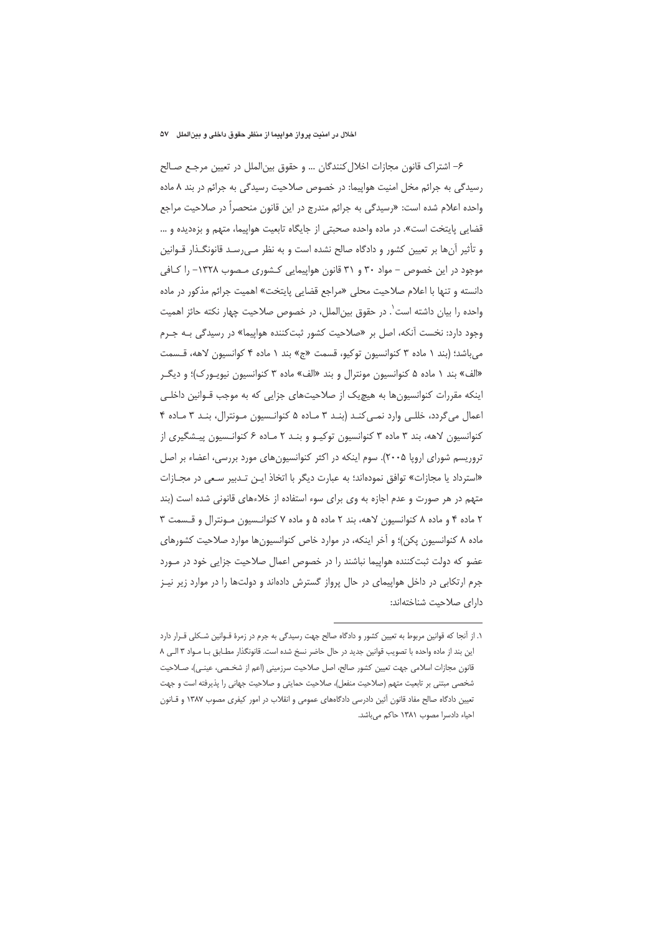#### اخلال در امنیت پرواز هواپیما از منظر حقوق داخلی و بینالملل ۵۷

۶– اشتراک قانون مجازات اخلال کنندگان … و حقوق بینالملل در تعیین مرجع صـالح رسیدگی به جرائم مخل امنیت هواپیما: در خصوص صلاحیت رسیدگی به جرائم در بند ٨ ماده واحده اعلام شده است: «رسیدگی به جرائم مندرج در این قانون منحصرا در صلاحیت مراجع قضایی پایتخت است». در ماده واحده صحبتی از جایگاه تابعیت هواپیما، متهم و بزهدیده و … و تأثیر آنها بر تعیین کشور و دادگاه صالح نشده است و به نظر مـی٫سـد قانونگـذار قـوانین موجود در این خصوص – مواد ۳۰ و ۳۱ قانون هواپیمایی کشوری مصوب ۱۳۲۸– را کافی دانسته و تنها با اعلام صلاحیت محلی «مراجع قضایی پایتخت» اهمیت جرائم مذکور در ماده واحده را بیان داشته است`. در حقوق بین|لملل، در خصوص صلاحیت چهار نکته حائز اهمیت وجود دارد: نخست آنكه، اصل بر «صلاحیت كشور ثبت كننده هواپیما» در رسیدگی بـه جـرم می باشد؛ (بند ١ ماده ٣ كنوانسيون توكيو، قسمت «ج» بند ١ ماده ۴ كوانسيون لاهه، قـسمت «الف» بند ۱ ماده ۵ کنوانسیون مونترال و بند «الف» ماده ۳ کنوانسیون نیویورک)؛ و دیگر اینکه مقررات کنوانسیونها به هیچ یک از صلاحیتهای جزایی که به موجب قـوانین داخلـی اعمال می گردد، خللی وارد نمی کند (بند ۳ ماده ۵ کنوانسیون مونترال، بند ۳ ماده ۴ کنوانسیون لاهه، بند ۳ ماده ۳ کنوانسیون توکیـو و بنـد ۲ مـاده ۶ کنوانـسیون پیـشگیری از تروریسم شورای اروپا ۲۰۰۵). سوم اینکه در اکثر کنوانسیون های مورد بررسی، اعضاء بر اصل «استرداد یا مجازات» توافق نمودهاند؛ به عبارت دیگر با اتخاذ ایـن تـدبیر سـعی در مجـازات متهم در هر صورت و عدم اجازه به وی برای سوء استفاده از خلاءهای قانونی شده است (بند ٢ ماده ۴ و ماده ٨ كنوانسيون لاهه، بند ٢ ماده ۵ و ماده ٧ كنوانسيون مونترال و قسمت ٣ ماده ۸ کنوانسیون یکن)؛ و آخر اینکه، در موارد خاص کنوانسیون ها موارد صلاحیت کشورهای عضو که دولت ثبت کننده هواپیما نباشند را در خصوص اعمال صلاحیت جزایی خود در مـورد جرم ارتکابی در داخل هواپیمای در حال پرواز گسترش دادهاند و دولتها را در موارد زیر نیـز دارای صلاحیت شناختهاند:

۱. از آنجا که قوانین مربوط به تعیین کشور و دادگاه صالح جهت رسیدگی به جرم در زمرهٔ قـوانین شـکلی قـرار دارد این بند از ماده واحده با تصویب قوانین جدید در حال حاضر نسخ شده است. قانونگذار مطابق بـا مـواد ٣ الـی ٨ قانون مجازات اسلامی جهت تعیین کشور صالح، اصل صلاحیت سرزمینی (اعم از شخـصی، عینـی)، صـلاحیت شخصی مبتنی بر تابعیت متهم (صلاحیت منفعل)، صلاحیت حمایتی و صلاحیت جهانی را پذیرفته است و جهت تعیین دادگاه صالح مفاد قانون آئین دادرسی دادگاههای عمومی و انقلاب در امور کیفری مصوب ۱۳۸۷ و قـانون احیاء دادسرا مصوب ١٣٨١ حاكم می باشد.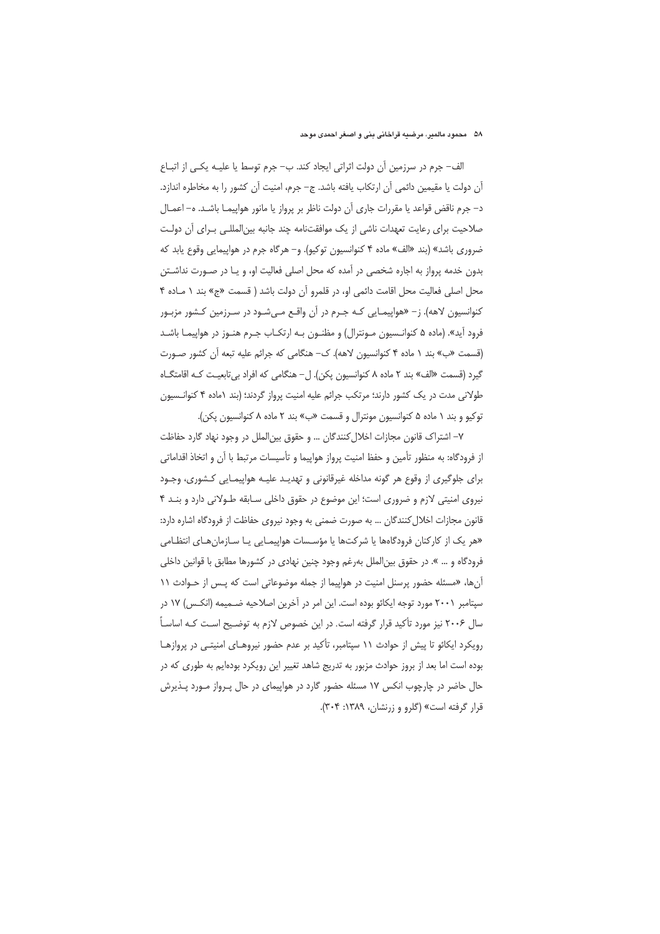الف– جرم در سرزمین أن دولت اثراتی ایجاد کند. ب– جرم توسط یا علیــه یکــی از اتبــاع آن دولت یا مقیمین دائمی آن ارتکاب یافته باشد. ج– جرم، امنیت آن کشور را به مخاطره اندازد. د– جرم ناقض قواعد يا مقررات جاري أن دولت ناظر بر يرواز يا مانور هواپيمـا باشـد. ه– اعمــال صلاحیت برای رعایت تعهدات ناشی از یک موافقتنامه چند جانبه بین|لمللـی بـرای آن دولـت ضروری باشد» (بند «الف» ماده ۴ کنوانسیون توکیو). و– هرگاه جرم در هواپیمایی وقوع یابد که بدون خدمه پرواز به اجاره شخصی در آمده که محل اصلی فعالیت او، و یـا در صـورت نداشـتن محل اصلی فعالیت محل اقامت دائمی او، در قلمرو آن دولت باشد ( قسمت «ج» بند ١ مـاده ۴ کنوانسیون لاهه). ز– «هواپیمـایی کـه جـرم در آن واقـع مـی شـود در سـرزمین کـشور مزبـور فرود آید». (ماده ۵ کنوانـسیون مـونترال) و مظنـون بـه ارتکـاب جـرم هنـوز در هواپیمـا باشـد (قسمت «ب» بند ۱ ماده ۴ کنوانسیون لاهه). ک– هنگامی که جرائم علیه تبعه آن کشور صـورت گیرد (قسمت «الف» بند ۲ ماده ۸ کنوانسیون یکن). ل− هنگامی که افراد بی تابعیت کـه اقامتگـاه طولانی مدت در یک کشور دارند؛ مرتکب جرائم علیه امنیت پرواز گردند؛ (بند ۱ماده ۴ کنوانسیون توكيو وبند ١ ماده ۵ كنوانسيون مونترال و قسمت «ب» بند ٢ ماده ٨ كنوانسيون پكن).

٧– اشتراک قانون مجازات اخلال کنندگان … و حقوق بینالملل در وجود نهاد گارد حفاظت از فرودگاه: به منظور تأمین و حفظ امنیت پرواز هواپیما و تأسیسات مرتبط با آن و اتخاذ اقداماتی برای جلوگیری از وقوع هر گونه مداخله غیرقانونی و تهدیـد علیـه هواپیمـایی کـشوری، وجـود نیروی امنیتی لازم و ضروری است؛ این موضوع در حقوق داخلی سـابقه طـولانی دارد و بنـد ۴ قانون مجازات اخلال کنندگان … به صورت ضمنی به وجود نیروی حفاظت از فرودگاه اشاره دارد: «هر یک از کارکنان فرودگاهها یا شرکتها یا مؤسسات هواپیمـایی یـا سـازمانهـای انتظـامی فرودگاه و … ». در حقوق بین|لملل بهرغم وجود چنین نهادی در کشورها مطابق با قوانین داخلی آنها، «مسئله حضور پرسنل امنیت در هواپیما از جمله موضوعاتی است که پـس از حـوادث ١١ سیتامبر ۲۰۰۱ مورد توجه ایکائو بوده است. این امر در آخرین اصلاحیه ضـمیمه (انکـس) ۱۷ در سال ۲۰۰۶ نیز مورد تأکید قرار گرفته است. در این خصوص لازم به توضـیح اسـت کـه اساسـاً رویکرد ایکائو تا پیش از حوادث ۱۱ سپتامبر، تأکید بر عدم حضور نیروهـای امنیتـی در پروازهـا بوده است اما بعد از بروز حوادث مزبور به تدريج شاهد تغيير اين رويكرد بودهايم به طورى كه در حال حاضر در چارچوب انکس ۱۷ مسئله حضور گارد در هواپیمای در حال پـرواز مـورد پـذیرش قرار گرفته است» (گلرو و زرنشان، ۱۳۸۹: ۳۰۴).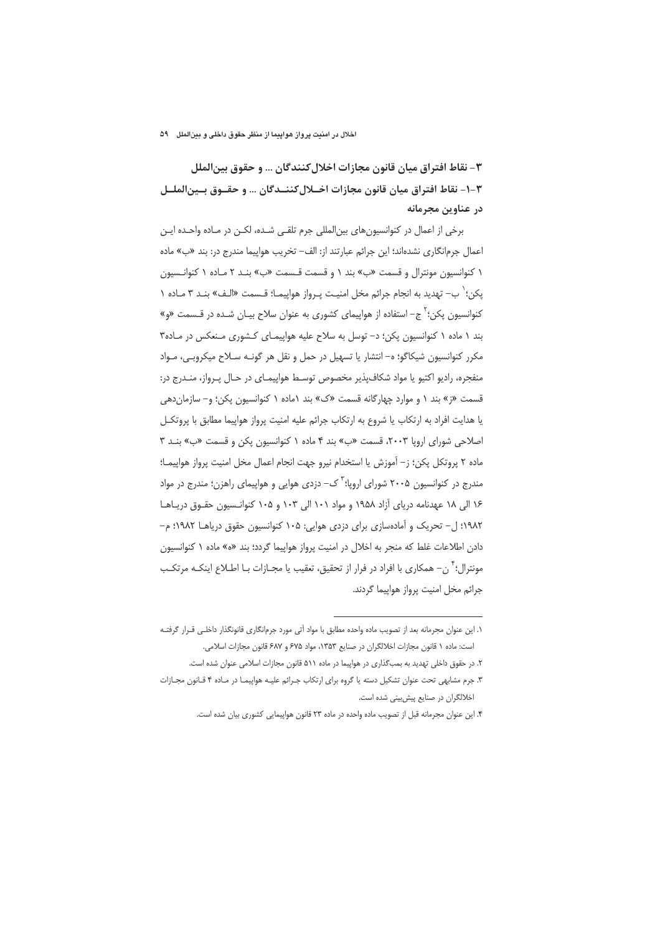# ٣- نقاط افتراق ميان قانون مجازات اخلال كنندگان … و حقوق بين|لملل ٣-١- نقاط افتراق ميان قانون مجازات اخــلال كننــدگان … و حقــوق بــين|لملــل در عناوین مجرمانه

برخی از اعمال در کنوانسیونهای بینالمللی جرم تلقی شده، لکن در مـاده واحـده ایـن اعمال جرمانگاری نشدهاند؛ این جرائم عبارتند از: الف- تخریب هواپیما مندرج در: بند «ب» ماده ١ كنوانسيون مونترال و قسمت «ب» بند ١ و قسمت قسمت «ب» بنـد ٢ مـاده ١ كنوانـسيون يكن؛' ب– تهديد به انجام جرائم مخل امنيت پـرواز هواپيمـا؛ قـسمت «الـف» بنـد ٣ مـاده ١ کنوانسیون یکن؛ ٌ ج– استفاده از هواپیمای کشوری به عنوان سلاح بیـان شـده در قـسمت «و» بند ۱ ماده ۱ کنوانسیون یکن؛ د- توسل به سلاح علیه هواپیمـای کـشوری مـنعکس در مـاده۳ مکرر کنوانسیون شیکاگو؛ ه- انتشار یا تسهیل در حمل و نقل هر گونـه سـلاح میکروبـی، مـواد منفجره، راديو اكتيو يا مواد شكاف پذير مخصوص توسط هواپيمـاى در حـال پـرواز، منـدرج در: قسمت «ز» بند ١ و موارد چهارگانه قسمت «ک» بند ١ماده ١ کنوانسیون پکن؛ و- سازمان دهی یا هدایت افراد به ارتکاب یا شروع به ارتکاب جرائم علیه امنیت پرواز هواپیما مطابق با پروتکـل اصلاحی شورای اروپا ٢٠٠٣، قسمت «ب» بند ۴ ماده ١ كنوانسيون يكن و قسمت «ب» بند ٣ ماده ٢ يروتكل يكن؛ ز– آموزش يا استخدام نيرو جهت انجام اعمال مخل امنيت يرواز هواييمـا؛ مندرج در کنوانسیون ۲۰۰۵ شورای اروپا؛<sup>۳</sup> ک– دزدی هوایی و هواپیمای راهزن؛ مندرج در مواد ۱۶ الی ۱۸ عهدنامه دریای آزاد ۱۹۵۸ و مواد ۱۰۱ الی ۱۰۳ و ۱۰۵ کنوانسیون حقـوق دریـاهـا ۱۹۸۲؛ ل– تحریک و آمادهسازی برای دزدی هوایی: ۱۰۵ کنوانسیون حقوق دریاهــا ۱۹۸۲؛ م– دادن اطلاعات غلط که منجر به اخلال در امنیت پرواز هواپیما گردد؛ بند «ه» ماده ۱ کنوانسیون مونترال؛ ٌ ن– همکاری با افراد در فرار از تحقیق، تعقیب یا مجــازات بــا اطــلاع اینکــه مرتکــب جرائم مخل امنيت پرواز هواپيما گردند.

١. این عنوان مجرمانه بعد از تصویب ماده واحده مطابق با مواد آتی مورد جرم|نگاری قانونگذار داخلـی قـرار گرفتـه است: ماده ١ قانون مجازات اخلالگران در صنایع ١٣۵٣، مواد ۶۷۵ و ۶۸۷ قانون مجازات اسلامی.

۲. در حقوق داخلی تهدید به بمب گذاری در هواپیما در ماده ۵۱۱ قانون مجازات اسلامی عنوان شده است.

۳. جرم مشابهی تحت عنوان تشکیل دسته یا گروه برای ارتکاب جـرائم علیـه هواپیمـا در مـاده ۴ قـانون مجـازات اخلالگران در صنایع پیش بینی شده است.

۴. این عنوان مجرمانه قبل از تصویب ماده واحده در ماده ۲۳ قانون هواپیمایی کشوری بیان شده است.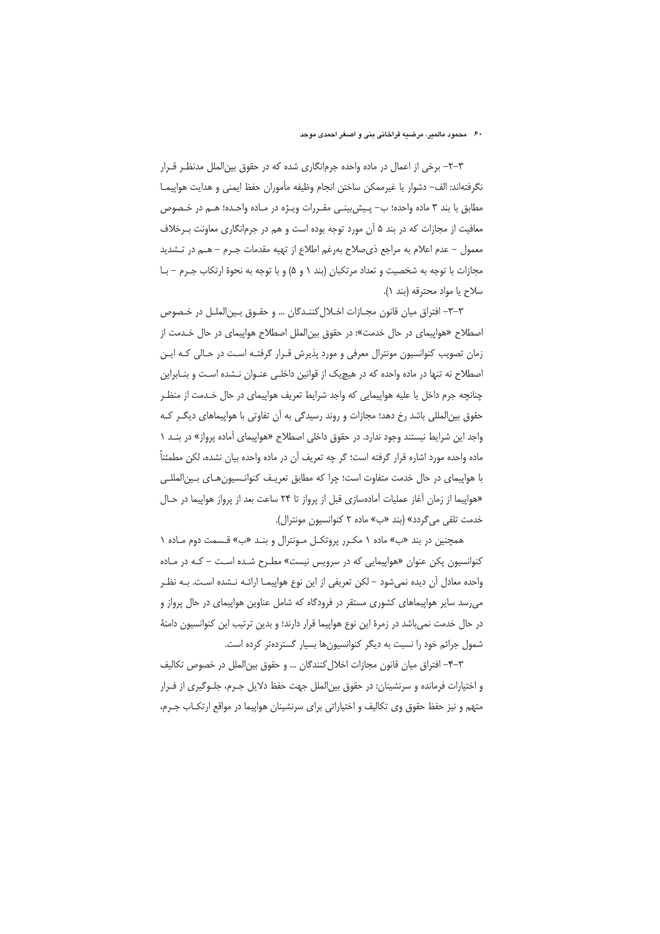٣–٢– برخي از اعمال در ماده واحده جرمانگاري شده كه در حقوق بينالملل مدنظـر قــرار نگرفتهاند: الف– دشوار يا غيرممكن ساختن انجام وظيفه مأموران حفظ ايمنى و هدايت هواپيمـا مطابق با بند ۳ ماده واحده؛ ب– پـیش بینـی مقـررات ویـژه در مـاده واحـده؛ هـم در خـصوص معافیت از مجازات که در بند ۵ آن مورد توجه بوده است و هم در جرمانگاری معاونت بـرخلاف معمول – عدم اعلام به مراجع ذي صلاح بهرغم اطلاع از تهيه مقدمات جـرم – هـم در تـشديد مجازات با توجه به شخصیت و تعداد مرتکبان (بند ۱ و ۵) و با توجه به نحوهٔ ارتکاب جـرم – بـا سلاح يا مواد محترقه (بند ۱).

٣-٣- افتراق ميان قانون مجـازات اخـلال كننـدگان … و حقــوق بـين|لملــل در خــصوص اصطلاح «هواپیمای در حال خدمت»: در حقوق بینالملل اصطلاح هواپیمای در حال خـدمت از زمان تصویب کنوانسیون مونترال معرفی و مورد پذیرش قـرار گرفتـه اسـت در حـالی کـه ایـن اصطلاح نه تنها در ماده واحده که در هیچیک از قوانین داخلـی عنـوان نـشده اسـت و بنـابراین چنانچه جرم داخل یا علیه هواپیمایی که واجد شرایط تعریف هواپیمای در حال خـدمت از منظـر حقوق بین|لمللی باشد رخ دهد؛ مجازات و روند رسیدگی به اَن تفاوتی با هواپیماهای دیگــر کــه واجد این شرایط نیستند وجود ندارد. در حقوق داخلی اصطلاح «هواپیمای آماده پرواز» در بنـد ۱ ماده واحده مورد اشاره قرار گرفته است؛ گر چه تعریف آن در ماده واحده بیان نشده، لکن مطمئناً با هواپیمای در حال خدمت متفاوت است؛ چرا که مطابق تعریـف کنوانـسیونِهـای بـین|لمللـی «هواپیما از زمان آغاز عملیات آمادهسازی قبل از پرواز تا ۲۴ ساعت بعد از پرواز هواپیما در حـال خدمت تلقى مى گردد» (بند «ب» ماده ٢ كنوانسيون مونترال).

همچنین در بند «ب» ماده ۱ مکـرر پروتکـل مـونترال و بنـد «ب» قـسمت دوم مـاده ۱ کنوانسیون پکن عنوان «هواپیمایی که در سرویس نیست» مطـرح شـده اسـت – کـه در مـاده واحده معادل أن ديده نمي شود – لكن تعريفي از اين نوع هواپيمـا ارائـه نــ شده اسـت. بــه نظــر می رسد سایر هواپیماهای کشوری مستقر در فرودگاه که شامل عناوین هواپیمای در حال پرواز و در حال خدمت نمی باشد در زمرهٔ این نوع هواپیما قرار دارند؛ و بدین ترتیب این کنوانسیون دامنهٔ شمول جرائم خود را نسبت به دیگر کنوانسیونها بسیار گستردهتر کرده است.

٣-٣- افتراق ميان قانون مجازات اخلال كنندگان ... و حقوق بين الملل در خصوص تكاليف و اختیارات فرمانده و سرنشینان: در حقوق بین|لملل جهت حفظ دلایل جـرم، جلـوگیری از فـرار متهم و نیز حفظ حقوق وی تکالیف و اختیاراتی برای سرنشینان هواپیما در مواقع ارتکـاب جـرم،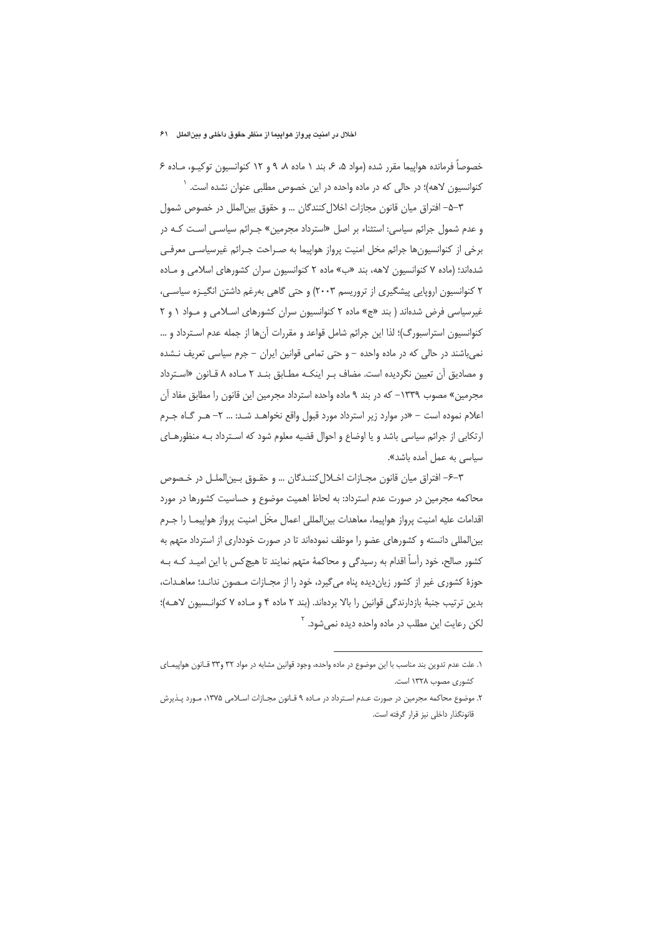خصوصاً فرمانده هواپیما مقرر شده (مواد ۵، ۶، بند ۱ ماده ۸، ۹ و ۱۲ کنوانسیون توکیـو، مـاده ۶ کنوانسیون لاهه)؛ در حالی که در ماده واحده در این خصوص مطلبی عنوان نشده است. <sup>۱</sup>

٣–۵– افتراق میان قانون مجازات اخلال کنندگان … و حقوق بین|لملل در خصوص شمول و عدم شمول جرائم سیاسی: استثناء بر اصل «استرداد مجرمین» جـرائم سیاسـی اسـت کـه در برخی از کنوانسیونها جرائم مخل امنیت پرواز هواپیما به صـراحت جـرائم غیرسیاسـی معرفـی شدهاند؛ (ماده ۷ کنوانسیون لاهه، بند «ب» ماده ۲ کنوانسیون سران کشورهای اسلامی و ماده ۲ کنوانسیون اروپایی پیشگیری از تروریسم ۲۰۰۳) و حتی گاهی بهرغم داشتن انگیـزه سیاسـی، غیرسیاسی فرض شدهاند (بند «ج» ماده ۲ کنوانسیون سران کشورهای اسلامی و مواد ۱ و ۲ كنوانسيون استراسبورگ)؛ لذا اين جرائم شامل قواعد و مقررات آنها از جمله عدم استرداد و … نمی باشند در حالی که در ماده واحده – و حتی تمامی قوانین ایران – جرم سیاسی تعریف نـشده و مصادیق آن تعیین نگردیده است. مضاف بـر اینکـه مطـابق بنـد ۲ مـاده ۸ قـانون «اسـترداد مجرمین» مصوب ۱۳۳۹– که در بند ۹ ماده واحده استرداد مجرمین این قانون را مطابق مفاد آن اعلام نموده است - «در موارد زیر استرداد مورد قبول واقع نخواهـد شـد: ... ٢- هـر كـاه جـرم ارتکابی از جرائم سیاسی باشد و یا اوضاع و احوال قضیه معلوم شود که اسـترداد بـه منظورهـای سیاسی به عمل آمده باشد».

٣-۶- افتراق ميان قانون مجـازات اخـلال كننـدگان ... و حقـوق بـين|لملـل در خـصوص محاكمه مجرمين در صورت عدم استرداد: به لحاظ اهميت موضوع و حساسيت كشورها در مورد اقدامات عليه امنيت يرواز هواييما، معاهدات بين|لمللي اعمال مخَّل امنيت يرواز هواييمـا را جـرم بین|لمللی دانسته و کشورهای عضو را موظف نمودهاند تا در صورت خودداری از استرداد متهم به کشور صالح، خود رأساً اقدام به رسیدگی و محاکمهٔ متهم نمایند تا هیچکس با این امیـد کـه بـه جوزهٔ کشوری غیر از کشور زیان دیده پناه می گیرد، خود را از مجــازات مــصون ندانــد؛ معاهــدات، بدين ترتيب جنبةً بازدارندگي قوانين را بالا بردهاند. (بند ٢ ماده ۴ و مـاده ٧ كنوانـسيون لاهـه)؛ لکن رعایت این مطلب در ماده واحده دیده نم<sub>ی شو</sub>د. <sup>۲</sup>

١. علت عدم تدوين بند مناسب با اين موضوع در ماده واحده، وجود قوانين مشابه در مواد ٣٢ و٣٣ قـانون هواپيمـاي کشوری مصوب ۱۳۲۸ است.

۲. موضوع محاکمه مجرمین در صورت عـدم اسـترداد در مـاده ۹ قـانون مجـازات اسـلامی ۱۳۷۵، مـورد پــذیرش قانونگذار داخلی نیز قرار گرفته است.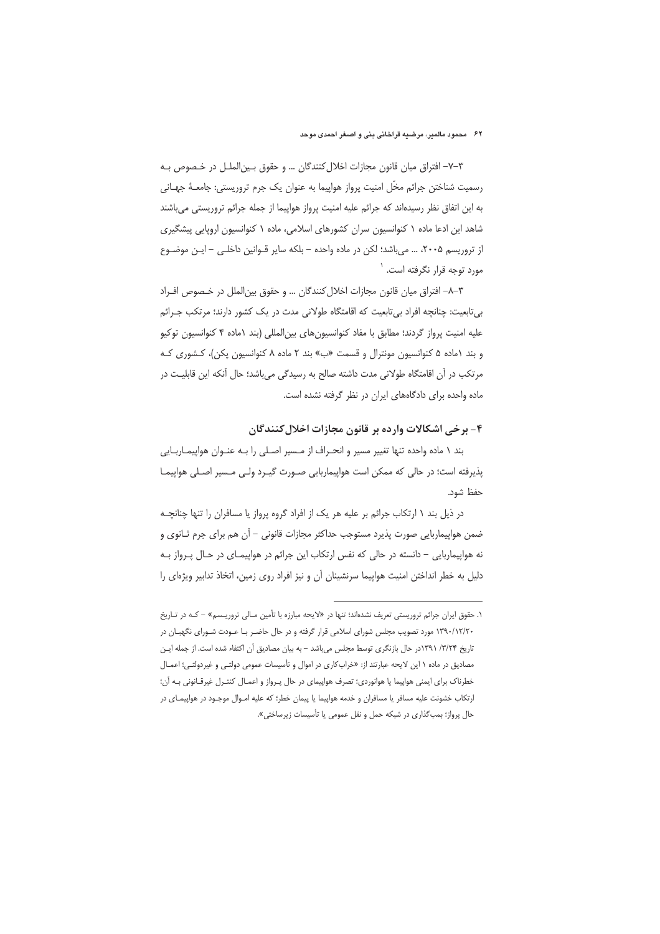٣-٧- افتراق ميان قانون مجازات اخلال كنندگان ... و حقوق بين|لملـل در خـصوص بـه رسمیت شناختن جرائم مخّل امنیت پرواز هواپیما به عنوان یک جرم تروریستی: جامعـهٔ جهـانی به این اتفاق نظر رسیدهاند که جرائم علیه امنیت پرواز هواپیما از جمله جرائم تروریستی میباشند شاهد این ادعا ماده ۱ کنوانسیون سران کشورهای اسلامی، ماده ۱ کنوانسیون اروپایی پیشگیری از تروریسم ۲۰۰۵، … می باشد؛ لکن در ماده واحده – بلکه سایر قـوانین داخلـی – ایـن موضـوع مورد توجه قرار نگرفته است. `

٣–٨– افتراق ميان قانون مجازات اخلال كنندگان … و حقوق بين الملل در خـصوص افـراد بیتابعیت: چنانچه افراد بیتابعیت که اقامتگاه طولانی مدت در یک کشور دارند؛ مرتکب جـرائم عليه امنيت پرواز گردند؛ مطابق با مفاد كنوانسيونهاى بينالمللى (بند ١ماده ۴ كنوانسيون توكيو و بند ١ماده ۵ کنوانسیون مونترال و قسمت «ب» بند ٢ ماده ٨ کنوانسیون پکن)، کشوری کـه مرتكب در أن اقامتگاه طولاني مدت داشته صالح به رسيدگي ميباشد؛ حال آنكه اين قابليت در ماده واحده برای دادگاههای ایران در نظر گرفته نشده است.

### ۴- برخی اشکالات وارده بر قانون مجازات اخلال کنندگان

بند ١ ماده واحده تنها تغيير مسير و انحراف از مسير اصلي را بـه عنـوان هواپيمـاربـايي پذیرفته است؛ در حالی که ممکن است هواپیماربایی صـورت گیـرد ولـی مـسیر اصـلی هواپیمـا حفظ شود.

در ذیل بند ۱ ارتکاب جرائم بر علیه هر یک از افراد گروه پرواز یا مسافران را تنها چنانچـه ضمن هواپیماربایی صورت پذیرد مستوجب حداکثر مجازات قانونی – آن هم برای جرم ثـانوی و نه هواپیماربایی – دانسته در حالی که نفس ارتکاب این جرائم در هواپیمای در حال پرواز به دلیل به خطر انداختن امنیت هواپیما سرنشینان آن و نیز افراد روی زمین، اتخاذ تدابیر ویژهای را

۰. حقوق ایران جرائم تروریستی تعریف نشدهاند؛ تنها در «لایحه مبارزه با تأمین مـالی تروریـسم» – کـه در تـاریخ ۱۳۹۰/۱۲/۲۰ مورد تصویب مجلس شورای اسلامی قرار گرفته و در حال حاضـر بـا عـودت شـورای نگهبـان در تاریخ ۳/۳/۴/ ۱۳۹۱در حال بازنگری توسط مجلس میباشد - به بیان مصادیق آن اکتفاء شده است. از جمله ایـن مصادیق در ماده ۱ این لایحه عبارتند از: «خرابکاری در اموال و تأسیسات عمومی دولتـی و غیردولتـی؛ اعمـال خطرناک برای ایمنی هواپیما یا هوانوردی؛ تصرف هواپیمای در حال پـرواز و اعمـال کنتـرل غیرقـانونی بـه آن؛ ارتکاب خشونت علیه مسافر یا مسافران و خدمه هواپیما یا پیمان خطر؛ که علیه امـوال موجـود در هواپیمـای در حال پرواز؛ بمب گذاری در شبکه حمل و نقل عمومی یا تأسیسات زیرساختی».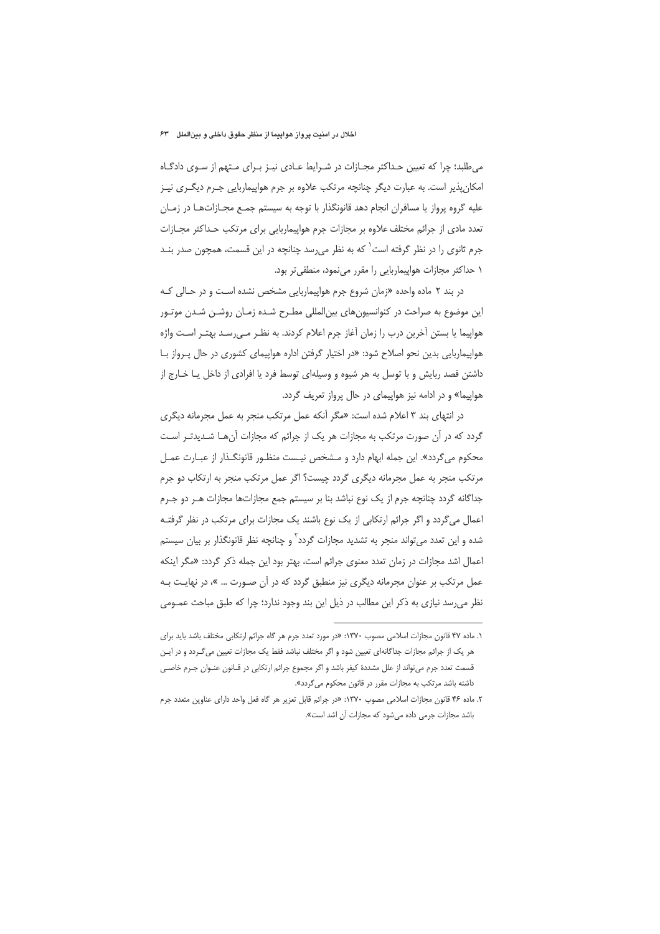#### اخلال در امنیت پرواز هواپیما از منظر حقوق داخلی و بینالملل "۶۳

می طلبد؛ چرا که تعیین حداکثر مجـازات در شـرایط عـادی نیـز بـرای مـتهم از سـوی دادگـاه امکانپذیر است. به عبارت دیگر چنانچه مرتکب علاوه بر جرم هواپیماربایی جـرم دیگـری نیـز علیه گروه پرواز یا مسافران انجام دهد قانونگذار با توجه به سیستم جمـع مجـازاتهـا در زمـان تعدد مادی از جرائم مختلف علاوه بر مجازات جرم هواپیماربایی برای مرتکب حـداکثر مجـازات جرم ثانوی را در نظر گرفته است<sup>\</sup> که به نظر م<sub>ع</sub>رسد چنانچه در این قسمت، همچون صدر بنـد ۱ حداکثر مجازات هواپیماربایی را مقرر مینمود، منطقیتر بود.

در بند ۲ ماده واحده «زمان شروع جرم هواپیماربایی مشخص نشده است و در حـالی کـه این موضوع به صراحت در کنوانسیونهای بین|لمللی مطـرح شـده زمـان روشـن شـدن موتـور هواپیما یا بستن آخرین درب را زمان آغاز جرم اعلام کردند. به نظـر مـیرسـد بهتـر اسـت واژه هواپیماربایی بدین نحو اصلاح شود: «در اختیار گرفتن اداره هواپیمای کشوری در حال پـرواز بـا داشتن قصد ربایش و با توسل به هر شیوه و وسیلهای توسط فرد یا افرادی از داخل یـا خـارج از هواییما» و در ادامه نیز هواپیمای در حال پرواز تعریف گردد.

در انتهای بند ۳ اعلام شده است: «مگر آنکه عمل مرتکب منجر به عمل مجرمانه دیگری گردد که در آن صورت مرتکب به مجازات هر یک از جرائم که مجازات آنهـا شـدیدتـر اسـت محکوم می گردد». این جمله ابهام دارد و مـشخص نیـست منظـور قانونگـذار از عبـارت عمـل مرتکب منجر به عمل مجرمانه دیگری گردد چیست؟ اگر عمل مرتکب منجر به ارتکاب دو جرم جداگانه گردد چنانچه جرم از یک نوع نباشد بنا بر سیستم جمع مجازاتها مجازات هـر دو جـرم اعمال می گردد و اگر جرائم ارتکابی از یک نوع باشند یک مجازات برای مرتکب در نظر گرفتـه شده و این تعدد می تواند منجر به تشدید مجازات گردد<sup>۲</sup> و چنانچه نظر قانونگذار بر بیان سیست<u>م</u> اعمال اشد مجازات در زمان تعدد معنوى جرائم است، بهتر بود اين جمله ذكر گردد: «مگر اينكه عمل مرتکب بر عنوان مجرمانه دیگری نیز منطبق گردد که در آن صـورت … »، در نهایـت بـه نظر می رسد نیازی به ذکر این مطالب در ذیل این بند وجود ندارد؛ چرا که طبق مباحث عمـومی

١. ماده ۴۷ قانون مجازات اسلامي مصوب ١٣٧٠: «در مورد تعدد جرم هر گاه جرائم ارتكابي مختلف باشد بايد براي هر یک از جرائم مجازات جداگانهای تعیین شود و اگر مختلف نباشد فقط یک مجازات تعیین می *گ*ردد و در ایـن قسمت تعدد جرم می تواند از علل مشددهٔ کیفر باشد و اگر مجموع جرائم ارتکابی در قـانون عنـوان جـرم خاصـی داشته باشد مرتكب به مجازات مقرر در قانون محكوم مى گردد».

۲. ماده ۴۶ قانون مجازات اسلامی مصوب ۱۳۷۰: «در جرائم قابل تعزیر هر گاه فعل واحد دارای عناوین متعدد جرم باشد مجازات جرمی داده می شود که مجازات آن اشد است».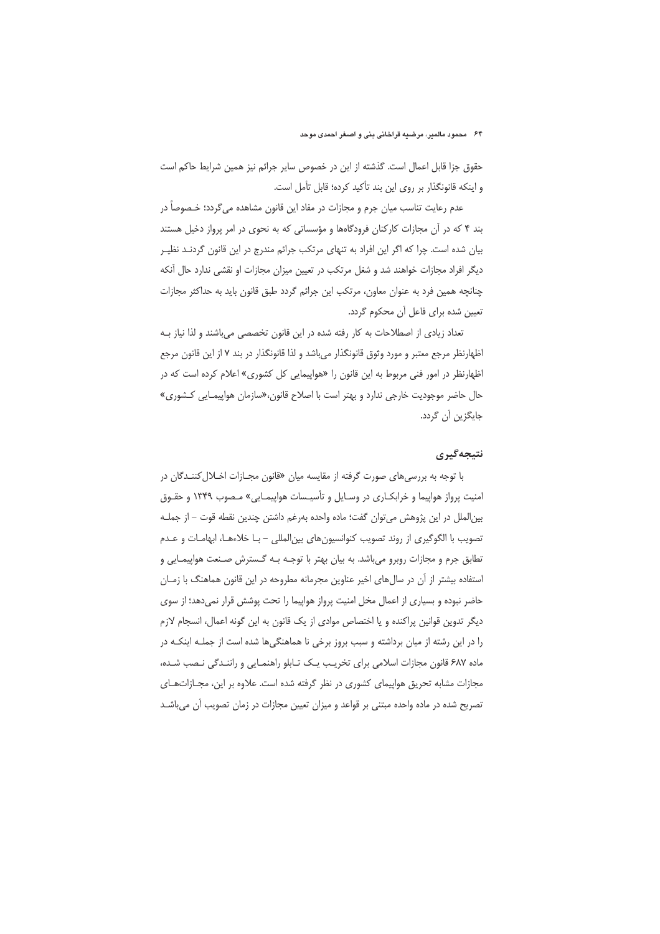حقوق جزا قابل اعمال است. گذشته از این در خصوص سایر جرائم نیز همین شرایط حاکم است و اینکه قانونگذار بر روی این بند تأکید کرده؛ قابل تأمل است.

عدم رعایت تناسب میان جرم و مجازات در مفاد این قانون مشاهده میگردد؛ خـصوصا در بند ۴ که در آن مجازات کارکنان فرودگاهها و مؤسساتی که به نحوی در امر پرواز دخیل هستند بیان شده است. چرا که اگر این افراد به تنهای مرتکب جرائم مندرج در این قانون گردنـد نظیـر دیگر افراد مجازات خواهند شد و شغل مرتکب در تعیین میزان مجازات او نقشی ندارد حال آنکه چنانچه همین فرد به عنوان معاون، مرتکب این جرائم گردد طبق قانون باید به حداکثر مجازات تعيين شده براي فاعل أن محكوم گردد.

تعداد زیادی از اصطلاحات به کار رفته شده در این قانون تخصصی میباشند و لذا نیاز بـه اظهارنظر مرجع معتبر و مورد وثوق قانونگذار مىباشد و لذا قانونگذار در بند ۷ از اين قانون مرجع اظهارنظر در امور فنی مربوط به این قانون را «هواپیمایی کل کشوری» اعلام کرده است که در حال حاضر موجودیت خارجی ندارد و بهتر است با اصلاح قانون،«سازمان هواپیمـایی کـشوری» جايگزين آن گردد.

## نتيجەگيرى

با توجه به بررسیهای صورت گرفته از مقایسه میان «قانون مجـازات اخـلال کننـدگان در امنیت پرواز هواپیما و خرابکاری در وسایل و تأسیـسات هواپیمـایی» مـصوب ١٣۴٩ و حقـوق بينالملل در اين پژوهش مي توان گفت؛ ماده واحده بهرغم داشتن چندين نقطه قوت – از جملـه تصویب با الگوگیری از روند تصویب کنوانسیونهای بینالمللی – بـا خلاءهـا، ابهامـات و عـدم تطابق جرم و مجازات روبرو میباشد. به بیان بهتر با توجـه بـه گـسترش صـنعت هواپیمـایی و استفاده بیشتر از آن در سال های اخیر عناوین مجرمانه مطروحه در این قانون هماهنگ با زمـان حاضر نبوده و بسیاری از اعمال مخل امنیت پرواز هواپیما را تحت پوشش قرار نمیدهد؛ از سوی دیگر تدوین قوانین پراکنده و یا اختصاص موادی از یک قانون به این گونه اعمال، انسجام لازم را در این رشته از میان برداشته و سبب بروز برخی نا هماهنگیها شده است از جملـه اینکـه در ماده ۶۸۷ قانون مجازات اسلامی برای تخریب یـک تـابلو راهنمـایی و راننـدگی نـصب شـده، مجازات مشابه تحریق هواپیمای کشوری در نظر گرفته شده است. علاوه بر این، مجازاتهای تصریح شده در ماده واحده مبتنی بر قواعد و میزان تعیین مجازات در زمان تصویب آن میباشـد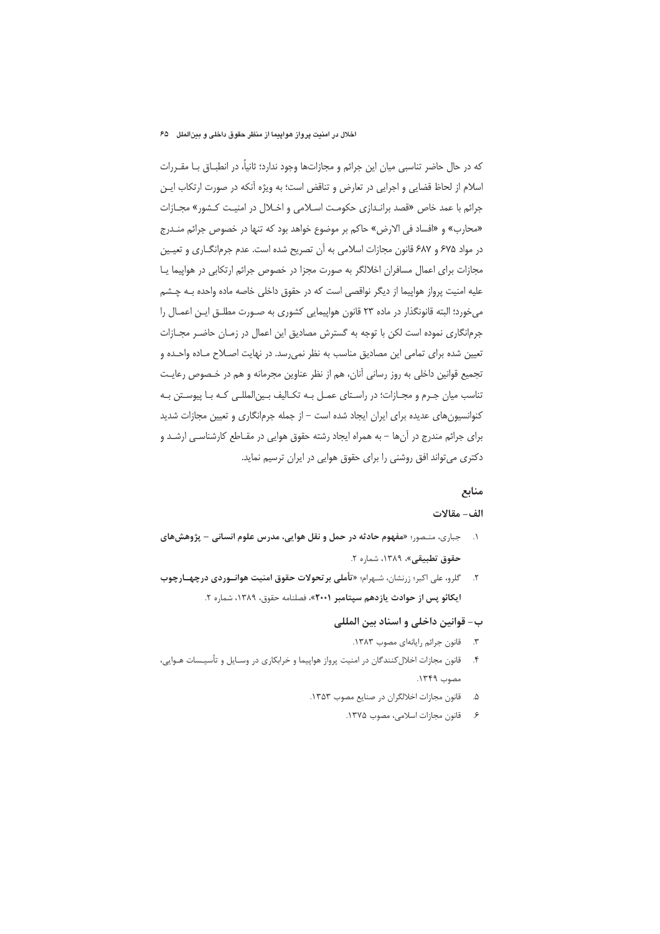#### اخلال در امنیت پرواز هواپیما از منظر حقوق داخلی و بینالملل ه۶۵

که در حال حاضر تناسبی میان این جرائم و مجازاتها وجود ندارد؛ ثانیاً، در انطبــاق بــا مقــررات اسلام از لحاظ قضایی و اجرایی در تعارض و تناقض است؛ به ویژه آنکه در صورت ارتکاب ایـن جرائم با عمد خاص «قصد برانـدازي حكومـت اســلامي و اخــلال در امنيـت كــشور» مجــازات «محارب» و «افساد في الارض» حاكم بر موضوع خواهد بود كه تنها در خصوص جرائم منـدرج در مواد ۶۷۵ و ۶۸۷ قانون مجازات اسلامی به آن تصریح شده است. عدم جرمانگـاری و تعیـین مجازات برای اعمال مسافران اخلالگر به صورت مجزا در خصوص جرائم ارتکابی در هواپیما یـا علیه امنیت پرواز هواپیما از دیگر نواقصی است که در حقوق داخلی خاصه ماده واحده بـه چـشم می خورد؛ البته قانونگذار در ماده ۲۳ قانون هواپیمایی کشوری به صـورت مطلـق ایـن اعمـال را جرمانگاری نموده است لکن با توجه به گسترش مصادیق این اعمال در زمـان حاضـر مجـازات تعیین شده برای تمامی این مصادیق مناسب به نظر نمی رسد. در نهایت اصـلاح مـاده واحـده و تجمیع قوانین داخلی به روز رسانی آنان، هم از نظر عناوین مجرمانه و هم در خـصوص رعایـت تناسب میان جـرم و مجـازات؛ در راسـتای عمـل بـه تکـالیف بـین|لمللـی کـه بـا پیوسـتن بـه کنوانسیون های عدیده برای ایران ایجاد شده است – از جمله جرمانگاری و تعیین مجازات شدید برای جرائم مندرج در آنها – به همراه ایجاد رشته حقوق هوایی در مقـاطع کارشناسـی ارشـد و دکتری می تواند افق روشنی را برای حقوق هوایی در ایران ترسیم نماید.

# منابع

#### الف- مقالات

- ۱. جباری، منـصور؛ «مفهوم حادثه در حمل و نقل هوایی، مدرس علوم انسانی پژوهشهای حقوق تطبيقي»، ١٣٨٩، شماره ٢.
- ۲. گلرو، علی اکبر؛ زرنشان، شـهرام؛ «تأملی برتحولات حقوق امنیت هوانـوردی درچهـارچوب ایکائو پس از حوادث یازدهم سپتامبر ۲۰۰۱»، فصلنامه حقوق، ۱۳۸۹، شماره ۲.

#### ب- قوانين داخلي و اسناد بين المللي

- ٣. قانون جرائم رايانهاي مصوب ١٣٨٣.
- ۴. قانون مجازات اخلال كنندگان در امنيت پرواز هواپيما و خرابكاري در وسـايل و تأسيـسات هـوايي، مصوب ١٣٤٩.
	- قانون مجازات اخلالگران در صنایع مصوب ۱۳۵۳.  $\Delta$ 
		- ۶. قانون مجازات اسلامی، مصوب ۱۳۷۵.